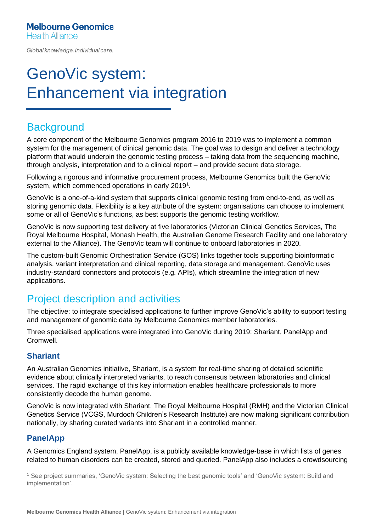Global knowledge. Individual care.

# GenoVic system: Enhancement via integration

### **Background**

A core component of the Melbourne Genomics program 2016 to 2019 was to implement a common system for the management of clinical genomic data. The goal was to design and deliver a technology platform that would underpin the genomic testing process – taking data from the sequencing machine, through analysis, interpretation and to a clinical report – and provide secure data storage.

Following a rigorous and informative procurement process, Melbourne Genomics built the GenoVic system, which commenced operations in early 2019<sup>1</sup>.

GenoVic is a one-of-a-kind system that supports clinical genomic testing from end-to-end, as well as storing genomic data. Flexibility is a key attribute of the system: organisations can choose to implement some or all of GenoVic's functions, as best supports the genomic testing workflow.

GenoVic is now supporting test delivery at five laboratories (Victorian Clinical Genetics Services, The Royal Melbourne Hospital, Monash Health, the Australian Genome Research Facility and one laboratory external to the Alliance). The GenoVic team will continue to onboard laboratories in 2020.

The custom-built Genomic Orchestration Service (GOS) links together tools supporting bioinformatic analysis, variant interpretation and clinical reporting, data storage and management. GenoVic uses industry-standard connectors and protocols (e.g. APIs), which streamline the integration of new applications.

# Project description and activities

The objective: to integrate specialised applications to further improve GenoVic's ability to support testing and management of genomic data by Melbourne Genomics member laboratories.

Three specialised applications were integrated into GenoVic during 2019: Shariant, PanelApp and Cromwell.

#### **Shariant**

An Australian Genomics initiative, Shariant, is a system for real-time sharing of detailed scientific evidence about clinically interpreted variants, to reach consensus between laboratories and clinical services. The rapid exchange of this key information enables healthcare professionals to more consistently decode the human genome.

GenoVic is now integrated with Shariant. The Royal Melbourne Hospital (RMH) and the Victorian Clinical Genetics Service (VCGS, Murdoch Children's Research Institute) are now making significant contribution nationally, by sharing curated variants into Shariant in a controlled manner.

#### **PanelApp**

A Genomics England system, PanelApp, is a publicly available knowledge-base in which lists of genes related to human disorders can be created, stored and queried. PanelApp also includes a crowdsourcing

<sup>1</sup> See project summaries, 'GenoVic system: Selecting the best genomic tools' and 'GenoVic system: Build and implementation'.